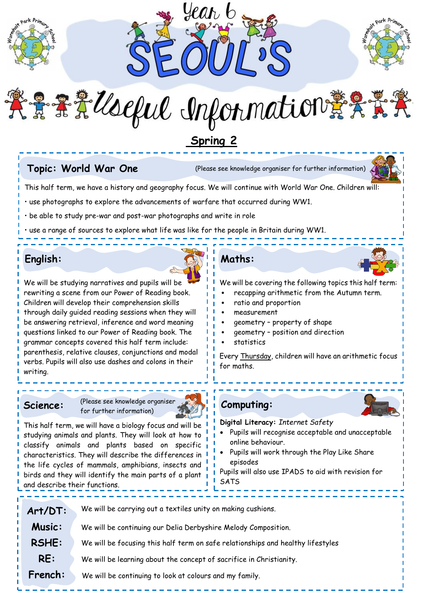



きまえ leeful Information 義文学

# **Spring 2**

**Topic: World War One** (Please see knowledge organiser for further information)



This half term, we have a history and geography focus. We will continue with World War One. Children will:

• use photographs to explore the advancements of warfare that occurred during WW1.

• be able to study pre-war and post-war photographs and write in role

use a range of sources to explore what life was like for the people in Britain during WW1.

## **English:**



We will be studying narratives and pupils will be rewriting a scene from our Power of Reading book. Children will develop their comprehension skills through daily guided reading sessions when they will be answering retrieval, inference and word meaning questions linked to our Power of Reading book. The grammar concepts covered this half term include: parenthesis, relative clauses, conjunctions and modal verbs. Pupils will also use dashes and colons in their writing.

**Science:** (Please see knowledge organiser for further information)



This half term, we will have a biology focus and will be studying animals and plants. They will look at how to classify animals and plants based on specific characteristics. They will describe the differences in the life cycles of mammals, amphibians, insects and birds and they will identify the main parts of a plant and describe their functions.

## **Maths:**

We will be covering the following topics this half term:

- recapping arithmetic from the Autumn term.
- ratio and proportion
- measurement
- geometry property of shape
- geometry position and direction
- **statistics**

Every Thursday, children will have an arithmetic focus for maths.

**Computing:**

- **Digital Literacy:** *Internet Safety* Pupils will recognise acceptable and unacceptable online behaviour.
- Pupils will work through the Play Like Share episodes

Pupils will also use IPADS to aid with revision for **SATS** 

| Art/DT:       | We will be carrying out a textiles unity on making cushions.                    |
|---------------|---------------------------------------------------------------------------------|
| <b>Music:</b> | We will be continuing our Delia Derbyshire Melody Composition.                  |
| <b>RSHE:</b>  | We will be focusing this half term on safe relationships and healthy lifestyles |
| RE:           | We will be learning about the concept of sacrifice in Christianity.             |
| French:       | We will be continuing to look at colours and my family.                         |